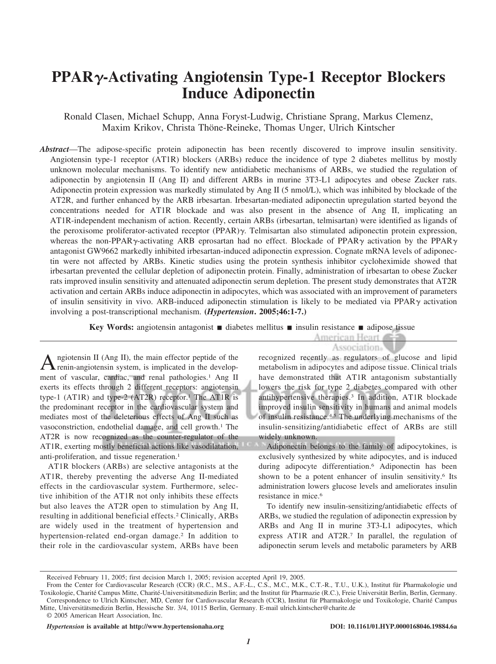# **PPAR-Activating Angiotensin Type-1 Receptor Blockers Induce Adiponectin**

Ronald Clasen, Michael Schupp, Anna Foryst-Ludwig, Christiane Sprang, Markus Clemenz, Maxim Krikov, Christa Thöne-Reineke, Thomas Unger, Ulrich Kintscher

*Abstract*—The adipose-specific protein adiponectin has been recently discovered to improve insulin sensitivity. Angiotensin type-1 receptor (AT1R) blockers (ARBs) reduce the incidence of type 2 diabetes mellitus by mostly unknown molecular mechanisms. To identify new antidiabetic mechanisms of ARBs, we studied the regulation of adiponectin by angiotensin II (Ang II) and different ARBs in murine 3T3-L1 adipocytes and obese Zucker rats. Adiponectin protein expression was markedly stimulated by Ang II (5 nmol/L), which was inhibited by blockade of the AT2R, and further enhanced by the ARB irbesartan. Irbesartan-mediated adiponectin upregulation started beyond the concentrations needed for AT1R blockade and was also present in the absence of Ang II, implicating an AT1R-independent mechanism of action. Recently, certain ARBs (irbesartan, telmisartan) were identified as ligands of the peroxisome proliferator-activated receptor  $(PPAR)$ . Telmisartan also stimulated adiponectin protein expression, whereas the non-PPAR $\gamma$ -activating ARB eprosartan had no effect. Blockade of PPAR $\gamma$  activation by the PPAR $\gamma$ antagonist GW9662 markedly inhibited irbesartan-induced adiponectin expression. Cognate mRNA levels of adiponectin were not affected by ARBs. Kinetic studies using the protein synthesis inhibitor cycloheximide showed that irbesartan prevented the cellular depletion of adiponectin protein. Finally, administration of irbesartan to obese Zucker rats improved insulin sensitivity and attenuated adiponectin serum depletion. The present study demonstrates that AT2R activation and certain ARBs induce adiponectin in adipocytes, which was associated with an improvement of parameters of insulin sensitivity in vivo. ARB-induced adiponectin stimulation is likely to be mediated via PPAR $\gamma$  activation involving a post-transcriptional mechanism. **(***Hypertension***. 2005;46:1-7.)**

**Key Words:** angiotensin antagonist ■ diabetes mellitus ■ insulin resistance ■ adipose tissue and adipose tissue

A ngiotensin II (Ang II), the main effector peptide of the develop-<br>renin-angiotensin system, is implicated in the development of vascular, cardiac, and renal pathologies.<sup>1</sup> Ang II exerts its effects through 2 different receptors: angiotensin type-1 (AT1R) and type-2 (AT2R) receptor.<sup>1</sup> The AT1R is the predominant receptor in the cardiovascular system and mediates most of the deleterious effects of Ang II such as vasoconstriction, endothelial damage, and cell growth.1 The AT2R is now recognized as the counter-regulator of the AT1R, exerting mostly beneficial actions like vasodilatation, anti-proliferation, and tissue regeneration.<sup>1</sup>

AT1R blockers (ARBs) are selective antagonists at the AT1R, thereby preventing the adverse Ang II-mediated effects in the cardiovascular system. Furthermore, selective inhibition of the AT1R not only inhibits these effects but also leaves the AT2R open to stimulation by Ang II, resulting in additional beneficial effects.2 Clinically, ARBs are widely used in the treatment of hypertension and hypertension-related end-organ damage.<sup>2</sup> In addition to their role in the cardiovascular system, ARBs have been

## Association.

recognized recently as regulators of glucose and lipid metabolism in adipocytes and adipose tissue. Clinical trials have demonstrated that AT1R antagonism substantially lowers the risk for type 2 diabetes compared with other antihypertensive therapies.3 In addition, AT1R blockade improved insulin sensitivity in humans and animal models of insulin resistance.4,5 The underlying mechanisms of the insulin-sensitizing/antidiabetic effect of ARBs are still widely unknown.

Adiponectin belongs to the family of adipocytokines, is exclusively synthesized by white adipocytes, and is induced during adipocyte differentiation.6 Adiponectin has been shown to be a potent enhancer of insulin sensitivity.<sup>6</sup> Its administration lowers glucose levels and ameliorates insulin resistance in mice.6

To identify new insulin-sensitizing/antidiabetic effects of ARBs, we studied the regulation of adiponectin expression by ARBs and Ang II in murine 3T3-L1 adipocytes, which express AT1R and AT2R.7 In parallel, the regulation of adiponectin serum levels and metabolic parameters by ARB

Received February 11, 2005; first decision March 1, 2005; revision accepted April 19, 2005.

From the Center for Cardiovascular Research (CCR) (R.C., M.S., A.F.-L., C.S., M.C., M.K., C.T.-R., T.U., U.K.), Institut für Pharmakologie und Toxikologie, Charité Campus Mitte, Charité-Universitätsmedizin Berlin; and the Institut für Pharmazie (R.C.), Freie Universität Berlin, Berlin, Germany. Correspondence to Ulrich Kintscher, MD, Center for Cardiovascular Research (CCR), Institut für Pharmakologie und Toxikologie, Charité Campus Mitte, Universitätsmedizin Berlin, Hessische Str. 3/4, 10115 Berlin, Germany. E-mail ulrich.kintscher@charite.de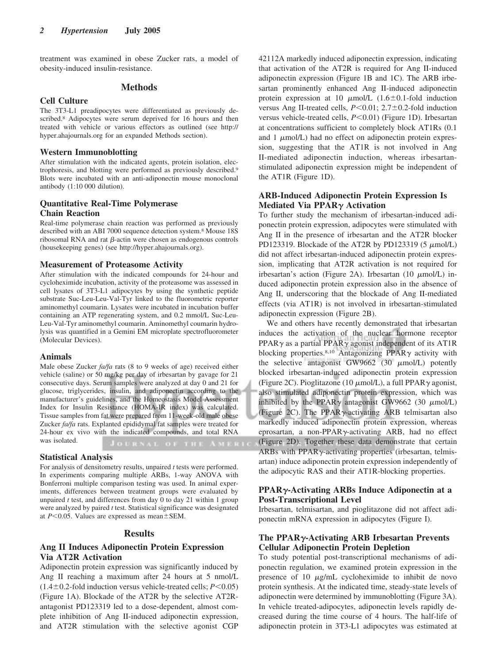treatment was examined in obese Zucker rats, a model of obesity-induced insulin-resistance.

#### **Methods**

#### **Cell Culture**

The 3T3-L1 preadipocytes were differentiated as previously described.<sup>8</sup> Adipocytes were serum deprived for 16 hours and then treated with vehicle or various effectors as outlined (see http:// hyper.ahajournals.org for an expanded Methods section).

## **Western Immunoblotting**

After stimulation with the indicated agents, protein isolation, electrophoresis, and blotting were performed as previously described.9 Blots were incubated with an anti-adiponectin mouse monoclonal antibody (1:10 000 dilution).

### **Quantitative Real-Time Polymerase Chain Reaction**

Real-time polymerase chain reaction was performed as previously described with an ABI 7000 sequence detection system.8 Mouse 18S ribosomal RNA and rat  $\beta$ -actin were chosen as endogenous controls (housekeeping genes) (see http://hyper.ahajournals.org).

#### **Measurement of Proteasome Activity**

After stimulation with the indicated compounds for 24-hour and cycloheximide incubation, activity of the proteasome was assessed in cell lysates of 3T3-L1 adipocytes by using the synthetic peptide substrate Suc-Leu-Leu-Val-Tyr linked to the fluorometric reporter aminomethyl coumarin. Lysates were incubated in incubation buffer containing an ATP regenerating system, and 0.2 mmol/L Suc-Leu-Leu-Val-Tyr aminomethyl coumarin. Aminomethyl coumarin hydrolysis was quantified in a Gemini EM microplate spectrofluorometer (Molecular Devices).

#### **Animals**

Male obese Zucker *fa/fa* rats (8 to 9 weeks of age) received either vehicle (saline) or 50 mg/kg per day of irbesartan by gavage for 21 consecutive days. Serum samples were analyzed at day 0 and 21 for glucose, triglycerides, insulin, and adiponectin according to the manufacturer's guidelines, and the Homeostasis Model Assessment Index for Insulin Resistance (HOMA-IR index) was calculated. Tissue samples from fat were prepared from 11-week-old male obese Zucker *fa/fa* rats. Explanted epididymal fat samples were treated for 24-hour ex vivo with the indicated compounds, and total RNA was isolated.

#### **Statistical Analysis**

For analysis of densitometry results, unpaired *t* tests were performed. In experiments comparing multiple ARBs, 1-way ANOVA with Bonferroni multiple comparison testing was used. In animal experiments, differences between treatment groups were evaluated by unpaired *t* test, and differences from day 0 to day 21 within 1 group were analyzed by paired *t* test. Statistical significance was designated at  $P<0.05$ . Values are expressed as mean $\pm$ SEM.

#### **Results**

## **Ang II Induces Adiponectin Protein Expression Via AT2R Activation**

Adiponectin protein expression was significantly induced by Ang II reaching a maximum after 24 hours at 5 nmol/L  $(1.4 \pm 0.2 \text{-}$  fold induction versus vehicle-treated cells;  $P \le 0.05$ ) (Figure 1A). Blockade of the AT2R by the selective AT2Rantagonist PD123319 led to a dose-dependent, almost complete inhibition of Ang II-induced adiponectin expression, and AT2R stimulation with the selective agonist CGP 42112A markedly induced adiponectin expression, indicating that activation of the AT2R is required for Ang II-induced adiponectin expression (Figure 1B and 1C). The ARB irbesartan prominently enhanced Ang II-induced adiponectin protein expression at 10  $\mu$ mol/L (1.6±0.1-fold induction versus Ang II-treated cells,  $P \le 0.01$ ;  $2.7 \pm 0.2$ -fold induction versus vehicle-treated cells, *P*<0.01) (Figure 1D). Irbesartan at concentrations sufficient to completely block AT1Rs (0.1 and  $1 \mu$ mol/L) had no effect on adiponectin protein expression, suggesting that the AT1R is not involved in Ang II-mediated adiponectin induction, whereas irbesartanstimulated adiponectin expression might be independent of the AT1R (Figure 1D).

## **ARB-Induced Adiponectin Protein Expression Is Mediated Via PPAR<sub>Y</sub> Activation**

To further study the mechanism of irbesartan-induced adiponectin protein expression, adipocytes were stimulated with Ang II in the presence of irbesartan and the AT2R blocker PD123319. Blockade of the AT2R by PD123319  $(5 \mu \text{mol/L})$ did not affect irbesartan-induced adiponectin protein expression, implicating that AT2R activation is not required for irbesartan's action (Figure 2A). Irbesartan (10  $\mu$ mol/L) induced adiponectin protein expression also in the absence of Ang II, underscoring that the blockade of Ang II-mediated effects (via AT1R) is not involved in irbesartan-stimulated adiponectin expression (Figure 2B).

We and others have recently demonstrated that irbesartan induces the activation of the nuclear hormone receptor PPAR $\gamma$  as a partial PPAR $\gamma$  agonist independent of its AT1R blocking properties.<sup>8,10</sup> Antagonizing PPAR $\gamma$  activity with the selective antagonist GW9662 (30  $\mu$ mol/L) potently blocked irbesartan-induced adiponectin protein expression (Figure 2C). Pioglitazone (10  $\mu$ mol/L), a full PPAR $\gamma$  agonist, also stimulated adiponectin protein expression, which was inhibited by the PPAR $\gamma$  antagonist GW9662 (30  $\mu$ mol/L) (Figure 2C). The PPAR $\gamma$ -activating ARB telmisartan also markedly induced adiponectin protein expression, whereas eprosartan, a non-PPAR $\gamma$ -activating ARB, had no effect (Figure 2D). Together these data demonstrate that certain ARBs with  $PPAR\gamma$ -activating properties (irbesartan, telmisartan) induce adiponectin protein expression independently of the adipocytic RAS and their AT1R-blocking properties.

## **PPAR-Activating ARBs Induce Adiponectin at a Post-Transcriptional Level**

Irbesartan, telmisartan, and pioglitazone did not affect adiponectin mRNA expression in adipocytes (Figure I).

## **The PPAR-Activating ARB Irbesartan Prevents Cellular Adiponectin Protein Depletion**

To study potential post-transcriptional mechanisms of adiponectin regulation, we examined protein expression in the presence of 10  $\mu$ g/mL cycloheximide to inhibit de novo protein synthesis. At the indicated time, steady-state levels of adiponectin were determined by immunoblotting (Figure 3A). In vehicle treated-adipocytes, adiponectin levels rapidly decreased during the time course of 4 hours. The half-life of adiponectin protein in 3T3-L1 adipocytes was estimated at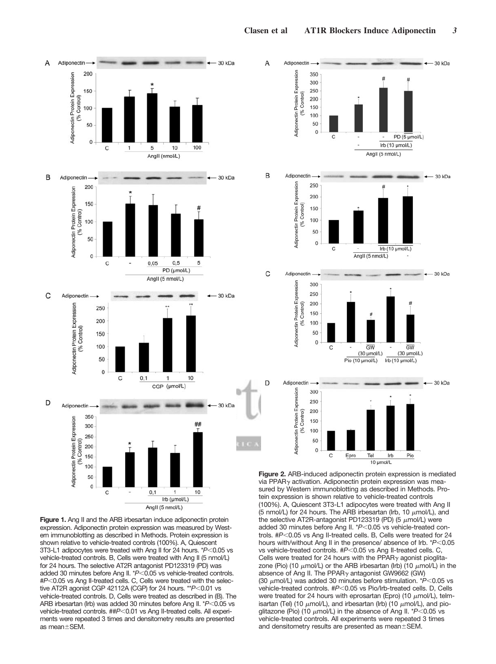

**Figure 1.** Ang II and the ARB irbesartan induce adiponectin protein expression. Adiponectin protein expression was measured by Western immunoblotting as described in Methods. Protein expression is shown relative to vehicle-treated controls (100%). A, Quiescent 3T3-L1 adipocytes were treated with Ang II for 24 hours. \*P<0.05 vs vehicle-treated controls. B, Cells were treated with Ang II (5 nmol/L) for 24 hours. The selective AT2R antagonist PD123319 (PD) was added 30 minutes before Ang II. \*P<0.05 vs vehicle-treated controls. #P<0.05 vs Ang II-treated cells. C, Cells were treated with the selective AT2R agonist CGP 42112A (CGP) for 24 hours. \*\* $P<0.01$  vs vehicle-treated controls. D, Cells were treated as described in (B). The ARB irbesartan (Irb) was added 30 minutes before Ang II. \*P<0.05 vs vehicle-treated controls. ##P<0.01 vs Ang II-treated cells. All experiments were repeated 3 times and densitometry results are presented as mean $\pm$ SEM.



**Figure 2.** ARB-induced adiponectin protein expression is mediated via PPAR $\gamma$  activation. Adiponectin protein expression was measured by Western immunoblotting as described in Methods. Protein expression is shown relative to vehicle-treated controls (100%). A, Quiescent 3T3-L1 adipocytes were treated with Ang II (5 nmol/L) for 24 hours. The ARB irbesartan (Irb, 10  $\mu$ mol/L), and the selective AT2R-antagonist PD123319 (PD) (5  $\mu$ mol/L) were added 30 minutes before Ang II. \*P<0.05 vs vehicle-treated controls. #P<0.05 vs Ang II-treated cells. B, Cells were treated for 24 hours with/without Ang II in the presence/ absence of Irb. \**P*<0.05 vs vehicle-treated controls. #P<0.05 vs Ang II-treated cells. C, Cells were treated for 24 hours with the PPAR $\gamma$  agonist pioglitazone (Pio) (10  $\mu$ mol/L) or the ARB irbesartan (Irb) (10  $\mu$ mol/L) in the absence of Ang II. The PPAR $\gamma$  antagonist GW9662 (GW) (30  $\mu$ mol/L) was added 30 minutes before stimulation.  $*P<0.05$  vs vehicle-treated controls. #P<0.05 vs Pio/Irb-treated cells. D, Cells were treated for 24 hours with eprosartan (Epro) (10  $\mu$ mol/L), telmisartan (Tel) (10  $\mu$ mol/L), and irbesartan (Irb) (10  $\mu$ mol/L), and pioglitazone (Pio) (10  $\mu$ mol/L) in the absence of Ang II. \* $P<0.05$  vs vehicle-treated controls. All experiments were repeated 3 times and densitometry results are presented as mean $\pm$ SEM.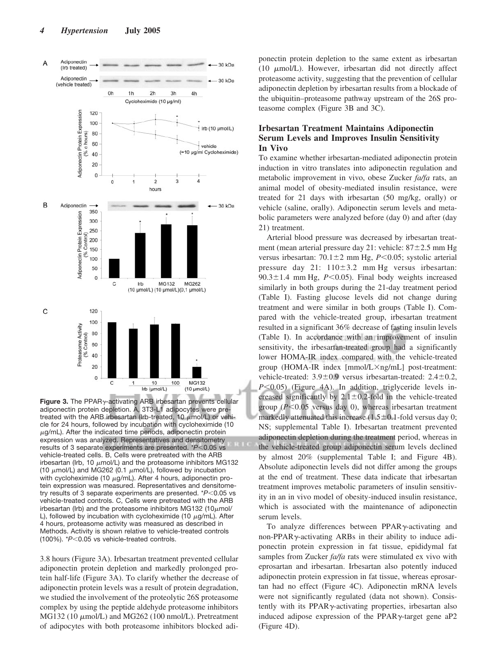

**Figure 3.** The PPAR $\gamma$ -activating ARB irbesartan prevents cellular adiponectin protein depletion. A, 3T3-L1 adipocytes were pretreated with the ARB irbesartan (Irb-treated, 10  $\mu$ mol/L) or vehicle for 24 hours, followed by incubation with cycloheximide (10  $\mu$ g/mL). After the indicated time periods, adiponectin protein expression was analyzed. Representatives and densitometry results of 3 separate experiments are presented. \**P*<0.05 vs vehicle-treated cells. B, Cells were pretreated with the ARB irbesartan (Irb, 10  $\mu$ mol/L) and the proteasome inhibitors MG132 (10  $\mu$ mol/L) and MG262 (0.1  $\mu$ mol/L), followed by incubation with cycloheximide (10  $\mu$ g/mL). After 4 hours, adiponectin protein expression was measured. Representatives and densitometry results of 3 separate experiments are presented. \**P*<0.05 vs vehicle-treated controls. C, Cells were pretreated with the ARB irbesartan (Irb) and the proteasome inhibitors MG132 (10 $\mu$ mol/ L), followed by incubation with cycloheximide (10  $\mu$ g/mL). After 4 hours, proteasome activity was measured as described in Methods. Activity is shown relative to vehicle-treated controls (100%). \* $P$ <0.05 vs vehicle-treated controls.

3.8 hours (Figure 3A). Irbesartan treatment prevented cellular adiponectin protein depletion and markedly prolonged protein half-life (Figure 3A). To clarify whether the decrease of adiponectin protein levels was a result of protein degradation, we studied the involvement of the proteolytic 26S proteasome complex by using the peptide aldehyde proteasome inhibitors MG132 (10 μmol/L) and MG262 (100 nmol/L). Pretreatment of adipocytes with both proteasome inhibitors blocked adi-

ponectin protein depletion to the same extent as irbesartan (10  $\mu$ mol/L). However, irbesartan did not directly affect proteasome activity, suggesting that the prevention of cellular adiponectin depletion by irbesartan results from a blockade of the ubiquitin–proteasome pathway upstream of the 26S proteasome complex (Figure 3B and 3C).

## **Irbesartan Treatment Maintains Adiponectin Serum Levels and Improves Insulin Sensitivity In Vivo**

To examine whether irbesartan-mediated adiponectin protein induction in vitro translates into adiponectin regulation and metabolic improvement in vivo, obese Zucker *fa/fa* rats, an animal model of obesity-mediated insulin resistance, were treated for 21 days with irbesartan (50 mg/kg, orally) or vehicle (saline, orally). Adiponectin serum levels and metabolic parameters were analyzed before (day 0) and after (day 21) treatment.

Arterial blood pressure was decreased by irbesartan treatment (mean arterial pressure day 21: vehicle:  $87 \pm 2.5$  mm Hg versus irbesartan:  $70.1 \pm 2$  mm Hg,  $P < 0.05$ ; systolic arterial pressure day  $21: 110 \pm 3.2$  mm Hg versus irbesartan:  $90.3 \pm 1.4$  mm Hg,  $P \le 0.05$ ). Final body weights increased similarly in both groups during the 21-day treatment period (Table I). Fasting glucose levels did not change during treatment and were similar in both groups (Table I). Compared with the vehicle-treated group, irbesartan treatment resulted in a significant 36% decrease of fasting insulin levels (Table I). In accordance with an improvement of insulin sensitivity, the irbesartan-treated group had a significantly lower HOMA-IR index compared with the vehicle-treated group (HOMA-IR index  $[mmol/L \times ng/mL]$  post-treatment: vehicle-treated:  $3.9 \pm 0.9$  versus irbesartan-treated:  $2.4 \pm 0.2$ ,  $P \leq 0.05$ ) (Figure 4A). In addition, triglyceride levels increased significantly by  $2.1 \pm 0.2$ -fold in the vehicle-treated group  $(P<0.05$  versus day 0), whereas irbesartan treatment markedly attenuated this increase  $(1.5 \pm 0.1)$ -fold versus day 0; NS; supplemental Table I). Irbesartan treatment prevented adiponectin depletion during the treatment period, whereas in the vehicle-treated group adiponectin serum levels declined by almost 20% (supplemental Table I; and Figure 4B). Absolute adiponectin levels did not differ among the groups at the end of treatment. These data indicate that irbesartan treatment improves metabolic parameters of insulin sensitivity in an in vivo model of obesity-induced insulin resistance, which is associated with the maintenance of adiponectin serum levels.

To analyze differences between  $PPAR\gamma$ -activating and non-PPAR $\gamma$ -activating ARBs in their ability to induce adiponectin protein expression in fat tissue, epididymal fat samples from Zucker *fa/fa* rats were stimulated ex vivo with eprosartan and irbesartan. Irbesartan also potently induced adiponectin protein expression in fat tissue, whereas eprosartan had no effect (Figure 4C). Adiponectin mRNA levels were not significantly regulated (data not shown). Consistently with its  $PPAR\gamma$ -activating properties, irbesartan also induced adipose expression of the PPAR $\gamma$ -target gene aP2 (Figure 4D).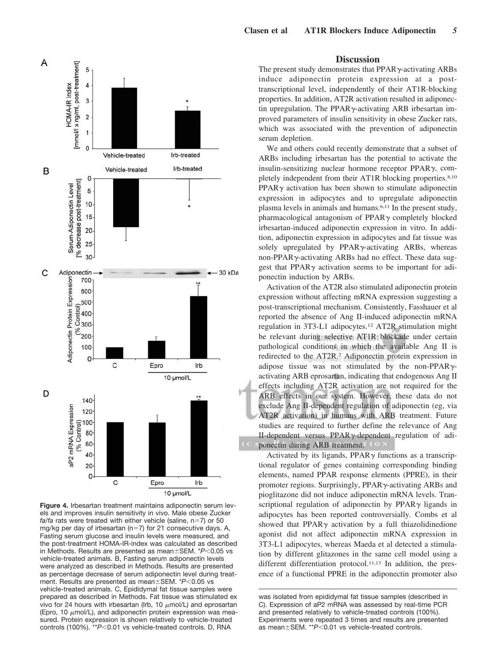

**Figure 4.** Irbesartan treatment maintains adiponectin serum levels and improves insulin sensitivity in vivo. Male obese Zucker  $fa/fa$  rats were treated with either vehicle (saline,  $n=7$ ) or 50 mg/kg per day of irbesartan ( $n=7$ ) for 21 consecutive days. A, Fasting serum glucose and insulin levels were measured, and the post-treatment HOMA-IR-index was calculated as described in Methods. Results are presented as mean±SEM. \*P<0.05 vs vehicle-treated animals. B, Fasting serum adiponectin levels were analyzed as described in Methods. Results are presented as percentage decrease of serum adiponectin level during treatment. Results are presented as mean±SEM. \*P<0.05 vs vehicle-treated animals. C, Epididymal fat tissue samples were prepared as described in Methods. Fat tissue was stimulated ex vivo for 24 hours with irbesartan (Irb, 10  $\mu$ mol/L) and eprosartan (Epro, 10  $\mu$ mol/L), and adiponectin protein expression was measured. Protein expression is shown relatively to vehicle-treated controls (100%). \*\* $P < 0.01$  vs vehicle-treated controls. D, RNA

## **Discussion**

The present study demonstrates that  $PPAR\gamma$ -activating  $ARBs$ induce adiponectin protein expression at a posttranscriptional level, independently of their AT1R-blocking properties. In addition, AT2R activation resulted in adiponectin upregulation. The PPAR $\gamma$ -activating ARB irbesartan improved parameters of insulin sensitivity in obese Zucker rats, which was associated with the prevention of adiponectin serum depletion.

We and others could recently demonstrate that a subset of ARBs including irbesartan has the potential to activate the insulin-sensitizing nuclear hormone receptor  $PPAR<sub>\gamma</sub>$ , completely independent from their AT1R blocking properties.<sup>8,10</sup>  $PPAR<sub>Y</sub>$  activation has been shown to stimulate adiponecting expression in adipocytes and to upregulate adiponectin plasma levels in animals and humans.6,11 In the present study, pharmacological antagonism of  $PPAR<sub>\gamma</sub>$  completely blocked irbesartan-induced adiponectin expression in vitro. In addition, adiponectin expression in adipocytes and fat tissue was solely upregulated by  $PPAR\gamma$ -activating ARBs, whereas non-PPAR $\gamma$ -activating ARBs had no effect. These data suggest that PPAR $\gamma$  activation seems to be important for adiponectin induction by ARBs.

Activation of the AT2R also stimulated adiponectin protein expression without affecting mRNA expression suggesting a post-transcriptional mechanism. Consistently, Fasshauer et al reported the absence of Ang II-induced adiponectin mRNA regulation in 3T3-L1 adipocytes.12 AT2R stimulation might be relevant during selective AT1R blockade under certain pathological conditions in which the available Ang II is redirected to the AT2R.2 Adiponectin protein expression in adipose tissue was not stimulated by the non-PPAR $\gamma$ activating ARB eprosartan, indicating that endogenous Ang II effects including AT2R activation are not required for the ARB effects in our system. However, these data do not exclude Ang II-dependent regulation of adiponectin (eg, via AT2R activation) in humans with ARB treatment. Future studies are required to further define the relevance of Ang II-dependent versus  $PPAR\gamma$ -dependent regulation of adiponectin during ARB treatment.

Activated by its ligands,  $PPAR\gamma$  functions as a transcriptional regulator of genes containing corresponding binding elements, named PPAR response elements (PPRE), in their promoter regions. Surprisingly, PPAR $\gamma$ -activating ARBs and pioglitazone did not induce adiponectin mRNA levels. Transcriptional regulation of adiponectin by  $PPAR\gamma$  ligands in adipocytes has been reported controversially. Combs et al showed that PPAR $\gamma$  activation by a full thiazolidinedione agonist did not affect adiponectin mRNA expression in 3T3-L1 adipocytes, whereas Maeda et al detected a stimulation by different glitazones in the same cell model using a different differentiation protocol.<sup>11,13</sup> In addition, the presence of a functional PPRE in the adiponectin promoter also

was isolated from epididymal fat tissue samples (described in C). Expression of aP2 mRNA was assessed by real-time PCR and presented relatively to vehicle-treated controls (100%). Experiments were repeated 3 times and results are presented as mean±SEM. \*\*P<0.01 vs vehicle-treated controls.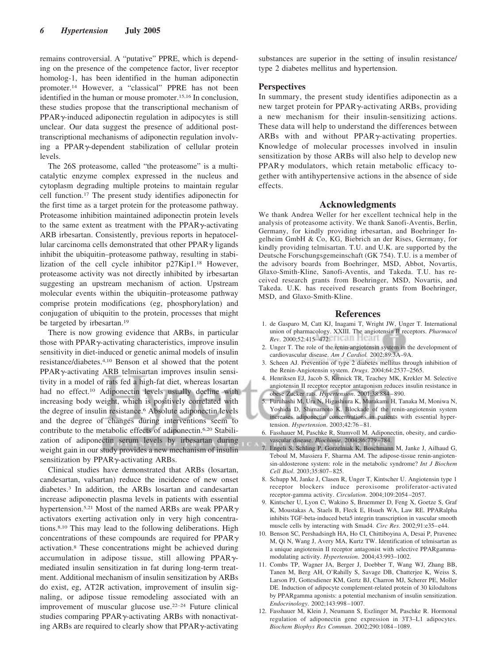remains controversial. A "putative" PPRE, which is depending on the presence of the competence factor, liver receptor homolog-1, has been identified in the human adiponectin promoter.14 However, a "classical" PPRE has not been identified in the human or mouse promoter.15,16 In conclusion, these studies propose that the transcriptional mechanism of  $PPAR<sub>\gamma</sub>$ -induced adiponectin regulation in adipocytes is still unclear. Our data suggest the presence of additional posttranscriptional mechanisms of adiponectin regulation involving a PPAR<sub>Y</sub>-dependent stabilization of cellular protein levels.

The 26S proteasome, called "the proteasome" is a multicatalytic enzyme complex expressed in the nucleus and cytoplasm degrading multiple proteins to maintain regular cell function.17 The present study identifies adiponectin for the first time as a target protein for the proteasome pathway. Proteasome inhibition maintained adiponectin protein levels to the same extent as treatment with the PPAR $\gamma$ -activating ARB irbesartan. Consistently, previous reports in hepatocellular carcinoma cells demonstrated that other  $PPAR<sub>\gamma</sub>$  ligands inhibit the ubiquitin–proteasome pathway, resulting in stabilization of the cell cycle inhibitor p27Kip1.18 However, proteasome activity was not directly inhibited by irbesartan suggesting an upstream mechanism of action. Upstream molecular events within the ubiquitin–proteasome pathway comprise protein modifications (eg, phosphorylation) and conjugation of ubiquitin to the protein, processes that might be targeted by irbesartan.19

There is now growing evidence that ARBs, in particular those with  $PPAR\gamma$ -activating characteristics, improve insulin sensitivity in diet-induced or genetic animal models of insulin resistance/diabetes.4,10 Benson et al showed that the potent  $PPAR<sub>Y</sub>$ -activating ARB telmisartan improves insulin sensitivity in a model of rats fed a high-fat diet, whereas losartan had no effect.<sup>10</sup> Adiponectin levels usually decline with increasing body weight, which is positively correlated with the degree of insulin resistance.<sup>6</sup> Absolute adiponectin levels and the degree of changes during interventions seem to contribute to the metabolic effects of adiponectin.6,20 Stabilization of adiponectin serum levels by irbesartan during weight gain in our study provides a new mechanism of insulin sensitization by  $PPAR\gamma$ -activating ARBs.

Clinical studies have demonstrated that ARBs (losartan, candesartan, valsartan) reduce the incidence of new onset diabetes.3 In addition, the ARBs losartan and candesartan increase adiponectin plasma levels in patients with essential hypertension.<sup>5,21</sup> Most of the named ARBs are weak PPAR $\gamma$ activators exerting activation only in very high concentrations.8,10 This may lead to the following deliberations. High concentrations of these compounds are required for  $PPAR\gamma$ activation.8 These concentrations might be achieved during accumulation in adipose tissue, still allowing PPAR $\gamma$ mediated insulin sensitization in fat during long-term treatment. Additional mechanism of insulin sensitization by ARBs do exist, eg, AT2R activation, improvement of insulin signaling, or adipose tissue remodeling associated with an improvement of muscular glucose use.22–24 Future clinical studies comparing PPAR $\gamma$ -activating ARBs with nonactivating ARBs are required to clearly show that  $PPAR\gamma$ -activating

substances are superior in the setting of insulin resistance/ type 2 diabetes mellitus and hypertension.

#### **Perspectives**

In summary, the present study identifies adiponectin as a new target protein for  $PPAR\gamma$ -activating ARBs, providing a new mechanism for their insulin-sensitizing actions. These data will help to understand the differences between  $ARBs$  with and without PPAR $\gamma$ -activating properties. Knowledge of molecular processes involved in insulin sensitization by those ARBs will also help to develop new  $PPAR\gamma$  modulators, which retain metabolic efficacy together with antihypertensive actions in the absence of side effects.

### **Acknowledgments**

We thank Andrea Weller for her excellent technical help in the analysis of proteasome activity. We thank Sanofi-Aventis, Berlin, Germany, for kindly providing irbesartan, and Boehringer Ingelheim GmbH & Co, KG, Biebrich an der Rises, Germany, for kindly providing telmisartan. T.U. and U.K. are supported by the Deutsche Forschungsgemeinschaft (GK 754). T.U. is a member of the advisory boards from Boehringer, MSD, Abbot, Novartis, Glaxo-Smith-Kline, Sanofi-Aventis, and Takeda. T.U. has received research grants from Boehringer, MSD, Novartis, and Takeda. U.K. has received research grants from Boehringer, MSD, and Glaxo-Smith-Kline.

#### **References**

- 1. de Gasparo M, Catt KJ, Inagami T, Wright JW, Unger T. International union of pharmacology. XXIII. The angiotensin II receptors. *Pharmacol Rev.* 2000:52:415–472.
- 2. Unger T. The role of the renin-angiotensin system in the development of cardiovascular disease. *Am J Cardiol.* 2002;89:3A–9A.
- 3. Scheen AJ. Prevention of type 2 diabetes mellitus through inhibition of the Renin-Angiotensin system. *Drugs*. 2004;64:2537–2565.
- 4. Henriksen EJ, Jacob S, Kinnick TR, Teachey MK, Krekler M. Selective angiotensin II receptor receptor antagonism reduces insulin resistance in obese Zucker rats. *Hypertension*. 2001;38:884 – 890.
- 5. Furuhashi M, Ura N, Higashiura K, Murakami H, Tanaka M, Moniwa N, Yoshida D, Shimamoto K. Blockade of the renin-angiotensin system increases adiponectin concentrations in patients with essential hypertension. *Hypertension*. 2003;42:76 – 81.
- 6. Fasshauer M, Paschke R, Stumvoll M. Adiponectin, obesity, and cardiovascular disease. *Biochimie*. 2004;86:779 –784.
- 7. Engeli S, Schling P, Gorzelniak K, Boschmann M, Janke J, Ailhaud G, Teboul M, Massiera F, Sharma AM. The adipose-tissue renin-angiotensin-aldosterone system: role in the metabolic syndrome? *Int J Biochem Cell Biol*. 2003;35:807– 825.
- 8. Schupp M, Janke J, Clasen R, Unger T, Kintscher U. Angiotensin type 1 receptor blockers induce peroxisome proliferator-activated receptor-gamma activity. *Circulation*. 2004;109:2054 –2057.
- 9. Kintscher U, Lyon C, Wakino S, Bruemmer D, Feng X, Goetze S, Graf K, Moustakas A, Staels B, Fleck E, Hsueh WA, Law RE. PPARalpha inhibits TGF-beta-induced beta5 integrin transcription in vascular smooth muscle cells by interacting with Smad4. *Circ Res*. 2002;91:e35-e44.
- 10. Benson SC, Pershadsingh HA, Ho CI, Chittiboyina A, Desai P, Pravenec M, Qi N, Wang J, Avery MA, Kurtz TW. Identification of telmisartan as a unique angiotensin II receptor antagonist with selective PPARgammamodulating activity. *Hypertension*. 2004;43:993–1002.
- 11. Combs TP, Wagner JA, Berger J, Doebber T, Wang WJ, Zhang BB, Tanen M, Berg AH, O'Rahilly S, Savage DB, Chatterjee K, Weiss S, Larson PJ, Gottesdiener KM, Gertz BJ, Charron MJ, Scherer PE, Moller DE. Induction of adipocyte complement-related protein of 30 kilodaltons by PPARgamma agonists: a potential mechanism of insulin sensitization. *Endocrinology*. 2002;143:998 –1007.
- 12. Fasshauer M, Klein J, Neumann S, Eszlinger M, Paschke R. Hormonal regulation of adiponectin gene expression in 3T3–L1 adipocytes. *Biochem Biophys Res Commun*. 2002;290:1084 –1089.